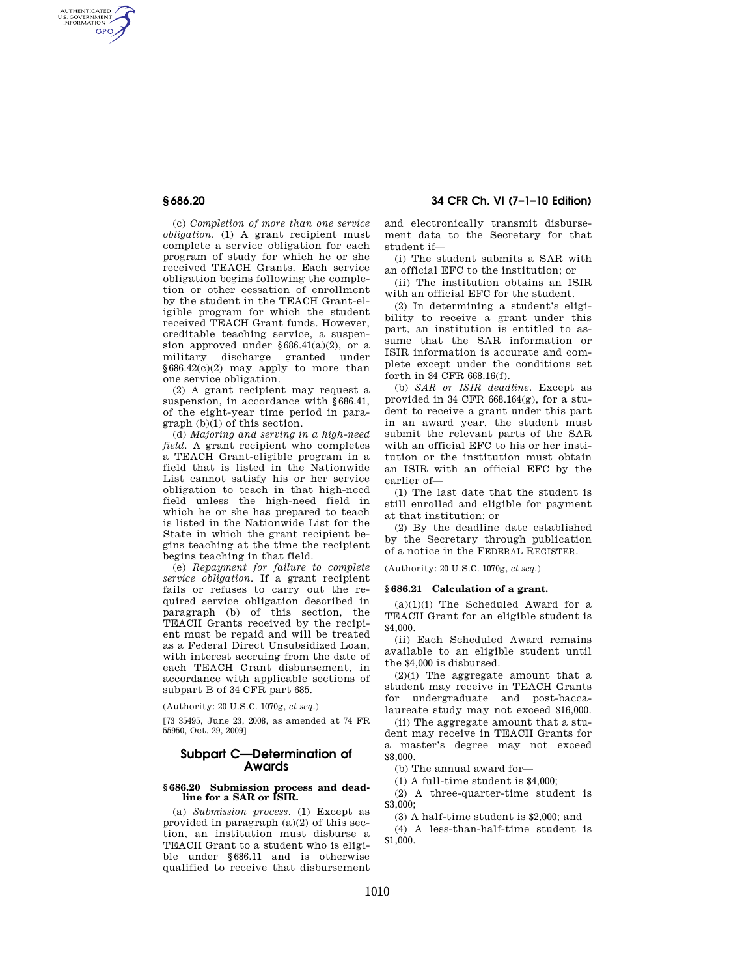AUTHENTICATED<br>U.S. GOVERNMENT<br>INFORMATION **GPO** 

**§ 686.20 34 CFR Ch. VI (7–1–10 Edition)** 

(c) *Completion of more than one service obligation.* (1) A grant recipient must complete a service obligation for each program of study for which he or she received TEACH Grants. Each service obligation begins following the completion or other cessation of enrollment by the student in the TEACH Grant-eligible program for which the student received TEACH Grant funds. However, creditable teaching service, a suspension approved under  $§686.41(a)(2)$ , or a military discharge granted under §686.42(c)(2) may apply to more than one service obligation.

(2) A grant recipient may request a suspension, in accordance with §686.41, of the eight-year time period in paragraph (b)(1) of this section.

(d) *Majoring and serving in a high-need field.* A grant recipient who completes a TEACH Grant-eligible program in a field that is listed in the Nationwide List cannot satisfy his or her service obligation to teach in that high-need field unless the high-need field in which he or she has prepared to teach is listed in the Nationwide List for the State in which the grant recipient begins teaching at the time the recipient begins teaching in that field.

(e) *Repayment for failure to complete service obligation.* If a grant recipient fails or refuses to carry out the required service obligation described in paragraph (b) of this section, the TEACH Grants received by the recipient must be repaid and will be treated as a Federal Direct Unsubsidized Loan, with interest accruing from the date of each TEACH Grant disbursement, in accordance with applicable sections of subpart B of 34 CFR part 685.

(Authority: 20 U.S.C. 1070g, *et seq.*)

[73 35495, June 23, 2008, as amended at 74 FR 55950, Oct. 29, 2009]

# **Subpart C—Determination of Awards**

#### **§ 686.20 Submission process and deadline for a SAR or ISIR.**

(a) *Submission process.* (1) Except as provided in paragraph (a)(2) of this section, an institution must disburse a TEACH Grant to a student who is eligible under §686.11 and is otherwise qualified to receive that disbursement and electronically transmit disbursement data to the Secretary for that student if—

(i) The student submits a SAR with an official EFC to the institution; or

(ii) The institution obtains an ISIR with an official EFC for the student.

(2) In determining a student's eligibility to receive a grant under this part, an institution is entitled to assume that the SAR information or ISIR information is accurate and complete except under the conditions set forth in 34 CFR 668.16(f).

(b) *SAR or ISIR deadline.* Except as provided in 34 CFR 668.164(g), for a student to receive a grant under this part in an award year, the student must submit the relevant parts of the SAR with an official EFC to his or her institution or the institution must obtain an ISIR with an official EFC by the earlier of—

(1) The last date that the student is still enrolled and eligible for payment at that institution; or

(2) By the deadline date established by the Secretary through publication of a notice in the FEDERAL REGISTER.

(Authority: 20 U.S.C. 1070g, *et seq.*)

### **§ 686.21 Calculation of a grant.**

 $(a)(1)(i)$  The Scheduled Award for a TEACH Grant for an eligible student is \$4,000.

(ii) Each Scheduled Award remains available to an eligible student until the \$4,000 is disbursed.

(2)(i) The aggregate amount that a student may receive in TEACH Grants for undergraduate and post-baccalaureate study may not exceed \$16,000.

(ii) The aggregate amount that a student may receive in TEACH Grants for a master's degree may not exceed \$8,000.

(b) The annual award for—

(1) A full-time student is \$4,000;

(2) A three-quarter-time student is \$3,000;

(3) A half-time student is \$2,000; and

(4) A less-than-half-time student is \$1,000.